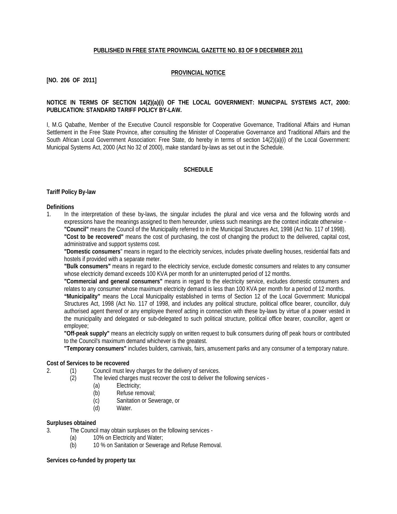## **PUBLISHED IN FREE STATE PROVINCIAL GAZETTE NO. 83 OF 9 DECEMBER 2011**

# **PROVINCIAL NOTICE**

# **[NO. 206 OF 2011]**

## **NOTICE IN TERMS OF SECTION 14(2)(a)(i) OF THE LOCAL GOVERNMENT: MUNICIPAL SYSTEMS ACT, 2000: PUBLICATION: STANDARD TARIFF POLICY BY-LAW.**

I, M.G Qabathe, Member of the Executive Council responsible for Cooperative Governance, Traditional Affairs and Human Settlement in the Free State Province, after consulting the Minister of Cooperative Governance and Traditional Affairs and the South African Local Government Association: Free State, do hereby in terms of section 14(2)(a)(i) of the Local Government: Municipal Systems Act, 2000 (Act No 32 of 2000), make standard by-laws as set out in the Schedule.

# **SCHEDULE**

#### **Tariff Policy By-law**

#### **Definitions**

1. In the interpretation of these by-laws, the singular includes the plural and vice versa and the following words and expressions have the meanings assigned to them hereunder, unless such meanings are the context indicate otherwise - **"Council"** means the Council of the Municipality referred to in the Municipal Structures Act, 1998 (Act No. 117 of 1998).

**"Cost to be recovered"** means the cost of purchasing, the cost of changing the product to the delivered, capital cost, administrative and support systems cost.

**"Domestic consumers**" means in regard to the electricity services, includes private dwelling houses, residential flats and hostels if provided with a separate meter.

**"Bulk consumers"** means in regard to the electricity service, exclude domestic consumers and relates to any consumer whose electricity demand exceeds 100 KVA per month for an uninterrupted period of 12 months.

**"Commercial and general consumers"** means in regard to the electricity service, excludes domestic consumers and relates to any consumer whose maximum electricity demand is less than 100 KVA per month for a period of 12 months.

**"Municipality"** means the Local Municipality established in terms of Section 12 of the Local Government: Municipal Structures Act, 1998 (Act No. 117 of 1998, and includes any political structure, political office bearer, councillor, duly authorised agent thereof or any employee thereof acting in connection with these by-laws by virtue of a power vested in the municipality and delegated or sub-delegated to such political structure, political office bearer, councillor, agent or employee;

**"Off-peak supply"** means an electricity supply on written request to bulk consumers during off peak hours or contributed to the Council's maximum demand whichever is the greatest.

**"Temporary consumers"** includes builders, carnivals, fairs, amusement parks and any consumer of a temporary nature.

#### **Cost of Services to be recovered**

- 2. (1) Council must levy charges for the delivery of services.<br>(2) The levied charges must recover the cost to deliver the
	- The levied charges must recover the cost to deliver the following services -
		- (a) Electricity;
		- (b) Refuse removal;<br>(c) Sanitation or Sev
		- Sanitation or Sewerage, or
		- (d) Water.

#### **Surpluses obtained**

3. The Council may obtain surpluses on the following services -

- (a) 10% on Electricity and Water;
- (b) 10 % on Sanitation or Sewerage and Refuse Removal.

**Services co-funded by property tax**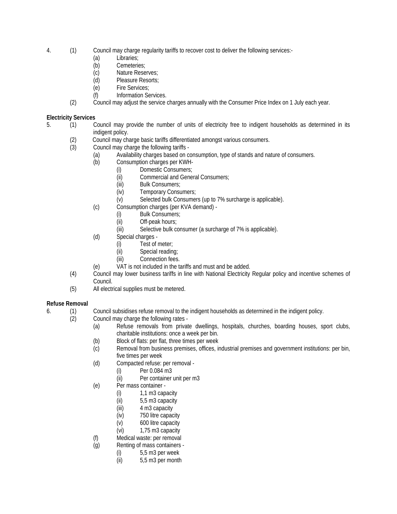- 4. (1) Council may charge regularity tariffs to recover cost to deliver the following services:-
	- (a) Libraries;
	- (b) Cemeteries;
	- (c) Nature Reserves;<br>(d) Pleasure Resorts;
	- Pleasure Resorts;
	- (e) Fire Services;
	- (f) Information Services.
	- (2) Council may adjust the service charges annually with the Consumer Price Index on 1 July each year.

# **Electricity Services**

- 5. (1) Council may provide the number of units of electricity free to indigent households as determined in its indigent policy.
	- (2) Council may charge basic tariffs differentiated amongst various consumers.
	- Council may charge the following tariffs -
		- (a) Availability charges based on consumption, type of stands and nature of consumers.
		- (b) Consumption charges per KWH-
			- (i) Domestic Consumers;
			- (ii) Commercial and General Consumers;
			- (iii) Bulk Consumers;
			- (iv) Temporary Consumers;
			- (v) Selected bulk Consumers (up to 7% surcharge is applicable).
		- (c) Consumption charges (per KVA demand)
			- (i) Bulk Consumers;
			- (ii) Off-peak hours;<br>(iii) Selective bulk co
			- Selective bulk consumer (a surcharge of 7% is applicable).
		- (d) Special charges
			- (i) Test of meter;
			- (ii) Special reading;
			- (iii) Connection fees.
		- (e) VAT is not included in the tariffs and must and be added.
	- (4) Council may lower business tariffs in line with National Electricity Regular policy and incentive schemes of Council.
	- (5) All electrical supplies must be metered.

# **Refuse Removal**

- 6. (1) Council subsidises refuse removal to the indigent households as determined in the indigent policy.
	- (2) Council may charge the following rates
		- (a) Refuse removals from private dwellings, hospitals, churches, boarding houses, sport clubs, charitable institutions: once a week per bin.
		- (b) Block of flats: per flat, three times per week
		- (c) Removal from business premises, offices, industrial premises and government institutions: per bin, five times per week
		- (d) Compacted refuse: per removal
			- (i) Per 0.084 m3
			- (ii) Per container unit per m3
		- (e) Per mass container
			- (i)  $1,1$  m3 capacity<br>(ii)  $5,5$  m3 capacity
			- 5,5 m3 capacity
			- (iii) 4 m3 capacity
			- (iv) 750 litre capacity
			- (v) 600 litre capacity
			- (vi) 1,75 m3 capacity
		- (f) Medical waste: per removal
		- (g) Renting of mass containers
			-
			- (i)  $5,5 \text{ m3 per week}$ <br>(ii)  $5,5 \text{ m3 per month}$ 5,5 m3 per month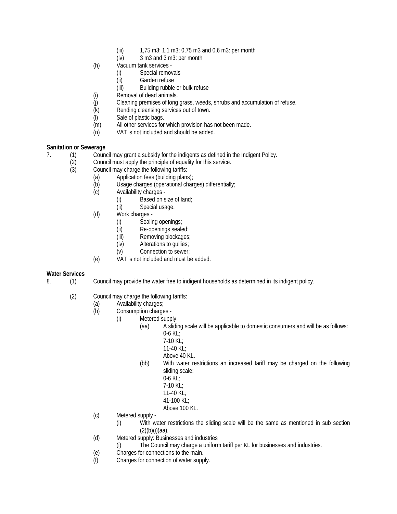- (iii) 1,75 m3; 1,1 m3; 0,75 m3 and 0,6 m3: per month
- (iv) 3 m3 and 3 m3: per month
- (h) Vacuum tank services
	- (i) Special removals
	- (ii) Garden refuse
	- (iii) Building rubble or bulk refuse
- (i) Removal of dead animals.
- (j) Cleaning premises of long grass, weeds, shrubs and accumulation of refuse.
- (k) Rending cleansing services out of town.
- (l) Sale of plastic bags.
- (m) All other services for which provision has not been made.
- (n) VAT is not included and should be added.

# **Sanitation or Sewerage**

- 7. (1) Council may grant a subsidy for the indigents as defined in the Indigent Policy.<br>(2) Council must apply the principle of equality for this service.
	- Council must apply the principle of equality for this service.
	- (3) Council may charge the following tariffs:
		- (a) Application fees (building plans);
		- (b) Usage charges (operational charges) differentially;
		- (c) Availability charges
			- (i) Based on size of land;
			- (ii) Special usage.
		- (d) Work charges
			- (i) Sealing openings;<br>(ii) Re-openings seale
			- Re-openings sealed;
			- (iii) Removing blockages;
			- (iv) Alterations to gullies;
			- (v) Connection to sewer;
		- (e) VAT is not included and must be added.

# **Water Services**

- 8. (1) Council may provide the water free to indigent households as determined in its indigent policy.
	- (2) Council may charge the following tariffs:
		- (a) Availability charges;<br>(b) Consumption charge
		- Consumption charges -
			- (i) Metered supply
				- (aa) A sliding scale will be applicable to domestic consumers and will be as follows: 0-6 KL;
					- 7-10 KL;
					- 11-40 KL $\cdot$
					- Above 40 KL.
					- (bb) With water restrictions an increased tariff may be charged on the following sliding scale:
						- $0 6$  KL;
						- 7-10 KL; 11-40 KL;
						- 41-100 KL;
						-
						- Above 100 KL.
		- (c) Metered supply
			- (i) With water restrictions the sliding scale will be the same as mentioned in sub section  $(2)(b)(i)(aa)$ .
		- (d) Metered supply: Businesses and industries
			- (i) The Council may charge a uniform tariff per KL for businesses and industries.
		- (e) Charges for connections to the main.
		- (f) Charges for connection of water supply.